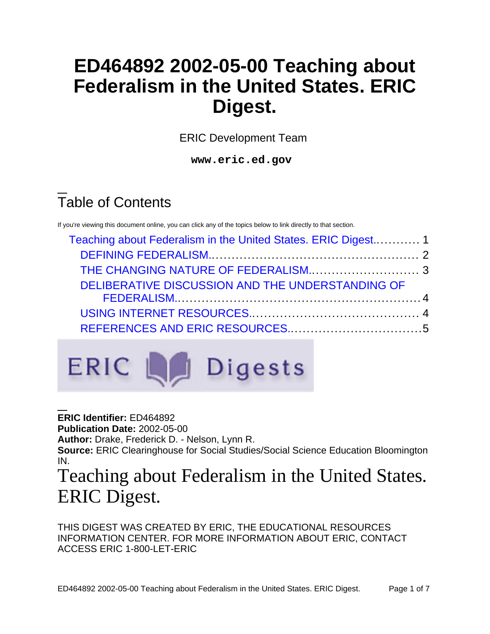## **ED464892 2002-05-00 Teaching about Federalism in the United States. ERIC Digest.**

ERIC Development Team

**www.eric.ed.gov**

# Table of Contents

If you're viewing this document online, you can click any of the topics below to link directly to that section.

| Teaching about Federalism in the United States. ERIC Digest 1 |  |
|---------------------------------------------------------------|--|
|                                                               |  |
|                                                               |  |
| DELIBERATIVE DISCUSSION AND THE UNDERSTANDING OF              |  |
|                                                               |  |
|                                                               |  |
|                                                               |  |
|                                                               |  |



**ERIC Identifier:** ED464892 **Publication Date:** 2002-05-00 **Author:** Drake, Frederick D. - Nelson, Lynn R. **Source:** ERIC Clearinghouse for Social Studies/Social Science Education Bloomington IN.

<span id="page-0-0"></span>Teaching about Federalism in the United States. ERIC Digest.

THIS DIGEST WAS CREATED BY ERIC, THE EDUCATIONAL RESOURCES INFORMATION CENTER. FOR MORE INFORMATION ABOUT ERIC, CONTACT ACCESS ERIC 1-800-LET-ERIC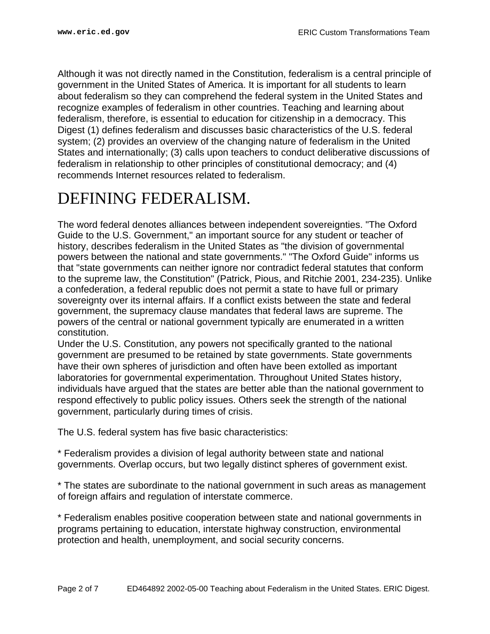Although it was not directly named in the Constitution, federalism is a central principle of government in the United States of America. It is important for all students to learn about federalism so they can comprehend the federal system in the United States and recognize examples of federalism in other countries. Teaching and learning about federalism, therefore, is essential to education for citizenship in a democracy. This Digest (1) defines federalism and discusses basic characteristics of the U.S. federal system; (2) provides an overview of the changing nature of federalism in the United States and internationally; (3) calls upon teachers to conduct deliberative discussions of federalism in relationship to other principles of constitutional democracy; and (4) recommends Internet resources related to federalism.

#### <span id="page-1-0"></span>DEFINING FEDERALISM.

The word federal denotes alliances between independent sovereignties. "The Oxford Guide to the U.S. Government," an important source for any student or teacher of history, describes federalism in the United States as "the division of governmental powers between the national and state governments." "The Oxford Guide" informs us that "state governments can neither ignore nor contradict federal statutes that conform to the supreme law, the Constitution" (Patrick, Pious, and Ritchie 2001, 234-235). Unlike a confederation, a federal republic does not permit a state to have full or primary sovereignty over its internal affairs. If a conflict exists between the state and federal government, the supremacy clause mandates that federal laws are supreme. The powers of the central or national government typically are enumerated in a written constitution.

Under the U.S. Constitution, any powers not specifically granted to the national government are presumed to be retained by state governments. State governments have their own spheres of jurisdiction and often have been extolled as important laboratories for governmental experimentation. Throughout United States history, individuals have argued that the states are better able than the national government to respond effectively to public policy issues. Others seek the strength of the national government, particularly during times of crisis.

The U.S. federal system has five basic characteristics:

\* Federalism provides a division of legal authority between state and national governments. Overlap occurs, but two legally distinct spheres of government exist.

\* The states are subordinate to the national government in such areas as management of foreign affairs and regulation of interstate commerce.

\* Federalism enables positive cooperation between state and national governments in programs pertaining to education, interstate highway construction, environmental protection and health, unemployment, and social security concerns.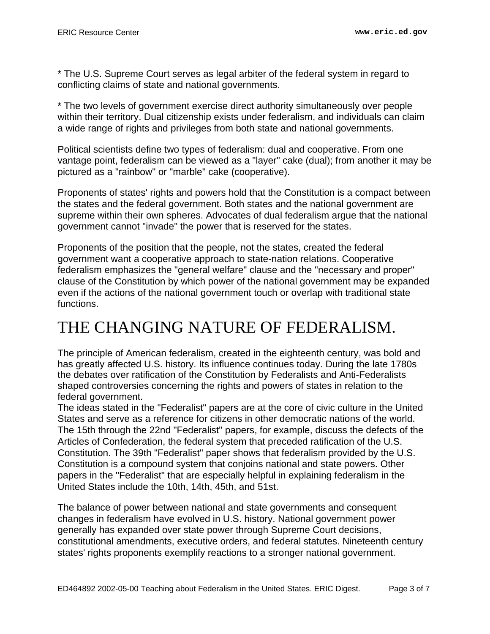\* The U.S. Supreme Court serves as legal arbiter of the federal system in regard to conflicting claims of state and national governments.

\* The two levels of government exercise direct authority simultaneously over people within their territory. Dual citizenship exists under federalism, and individuals can claim a wide range of rights and privileges from both state and national governments.

Political scientists define two types of federalism: dual and cooperative. From one vantage point, federalism can be viewed as a "layer" cake (dual); from another it may be pictured as a "rainbow" or "marble" cake (cooperative).

Proponents of states' rights and powers hold that the Constitution is a compact between the states and the federal government. Both states and the national government are supreme within their own spheres. Advocates of dual federalism argue that the national government cannot "invade" the power that is reserved for the states.

Proponents of the position that the people, not the states, created the federal government want a cooperative approach to state-nation relations. Cooperative federalism emphasizes the "general welfare" clause and the "necessary and proper" clause of the Constitution by which power of the national government may be expanded even if the actions of the national government touch or overlap with traditional state functions.

### <span id="page-2-0"></span>THE CHANGING NATURE OF FEDERALISM.

The principle of American federalism, created in the eighteenth century, was bold and has greatly affected U.S. history. Its influence continues today. During the late 1780s the debates over ratification of the Constitution by Federalists and Anti-Federalists shaped controversies concerning the rights and powers of states in relation to the federal government.

The ideas stated in the "Federalist" papers are at the core of civic culture in the United States and serve as a reference for citizens in other democratic nations of the world. The 15th through the 22nd "Federalist" papers, for example, discuss the defects of the Articles of Confederation, the federal system that preceded ratification of the U.S. Constitution. The 39th "Federalist" paper shows that federalism provided by the U.S. Constitution is a compound system that conjoins national and state powers. Other papers in the "Federalist" that are especially helpful in explaining federalism in the United States include the 10th, 14th, 45th, and 51st.

The balance of power between national and state governments and consequent changes in federalism have evolved in U.S. history. National government power generally has expanded over state power through Supreme Court decisions, constitutional amendments, executive orders, and federal statutes. Nineteenth century states' rights proponents exemplify reactions to a stronger national government.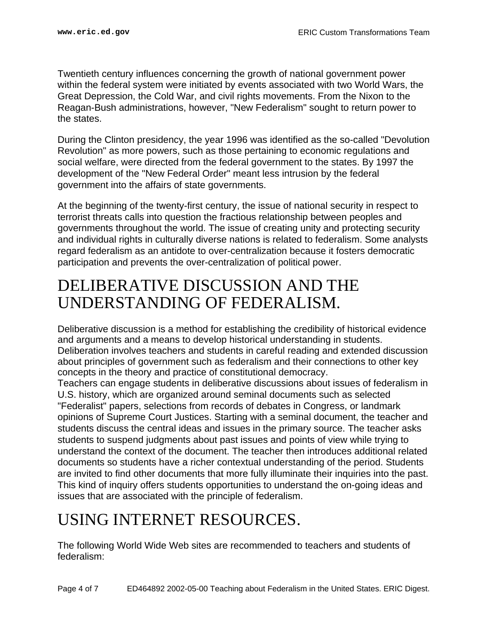Twentieth century influences concerning the growth of national government power within the federal system were initiated by events associated with two World Wars, the Great Depression, the Cold War, and civil rights movements. From the Nixon to the Reagan-Bush administrations, however, "New Federalism" sought to return power to the states.

During the Clinton presidency, the year 1996 was identified as the so-called "Devolution Revolution" as more powers, such as those pertaining to economic regulations and social welfare, were directed from the federal government to the states. By 1997 the development of the "New Federal Order" meant less intrusion by the federal government into the affairs of state governments.

At the beginning of the twenty-first century, the issue of national security in respect to terrorist threats calls into question the fractious relationship between peoples and governments throughout the world. The issue of creating unity and protecting security and individual rights in culturally diverse nations is related to federalism. Some analysts regard federalism as an antidote to over-centralization because it fosters democratic participation and prevents the over-centralization of political power.

#### <span id="page-3-0"></span>DELIBERATIVE DISCUSSION AND THE UNDERSTANDING OF FEDERALISM.

Deliberative discussion is a method for establishing the credibility of historical evidence and arguments and a means to develop historical understanding in students. Deliberation involves teachers and students in careful reading and extended discussion about principles of government such as federalism and their connections to other key concepts in the theory and practice of constitutional democracy.

Teachers can engage students in deliberative discussions about issues of federalism in U.S. history, which are organized around seminal documents such as selected "Federalist" papers, selections from records of debates in Congress, or landmark opinions of Supreme Court Justices. Starting with a seminal document, the teacher and students discuss the central ideas and issues in the primary source. The teacher asks students to suspend judgments about past issues and points of view while trying to understand the context of the document. The teacher then introduces additional related documents so students have a richer contextual understanding of the period. Students are invited to find other documents that more fully illuminate their inquiries into the past. This kind of inquiry offers students opportunities to understand the on-going ideas and issues that are associated with the principle of federalism.

## <span id="page-3-1"></span>USING INTERNET RESOURCES.

The following World Wide Web sites are recommended to teachers and students of federalism: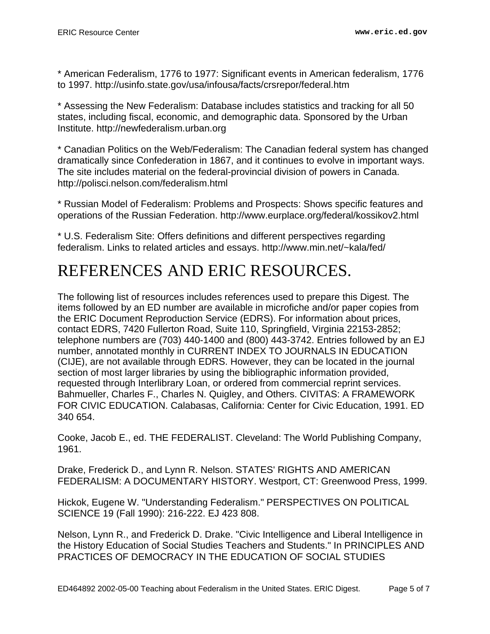\* American Federalism, 1776 to 1977: Significant events in American federalism, 1776 to 1997. http://usinfo.state.gov/usa/infousa/facts/crsrepor/federal.htm

\* Assessing the New Federalism: Database includes statistics and tracking for all 50 states, including fiscal, economic, and demographic data. Sponsored by the Urban Institute. http://newfederalism.urban.org

\* Canadian Politics on the Web/Federalism: The Canadian federal system has changed dramatically since Confederation in 1867, and it continues to evolve in important ways. The site includes material on the federal-provincial division of powers in Canada. http://polisci.nelson.com/federalism.html

\* Russian Model of Federalism: Problems and Prospects: Shows specific features and operations of the Russian Federation. http://www.eurplace.org/federal/kossikov2.html

\* U.S. Federalism Site: Offers definitions and different perspectives regarding federalism. Links to related articles and essays. http://www.min.net/~kala/fed/

## <span id="page-4-0"></span>REFERENCES AND ERIC RESOURCES.

The following list of resources includes references used to prepare this Digest. The items followed by an ED number are available in microfiche and/or paper copies from the ERIC Document Reproduction Service (EDRS). For information about prices, contact EDRS, 7420 Fullerton Road, Suite 110, Springfield, Virginia 22153-2852; telephone numbers are (703) 440-1400 and (800) 443-3742. Entries followed by an EJ number, annotated monthly in CURRENT INDEX TO JOURNALS IN EDUCATION (CIJE), are not available through EDRS. However, they can be located in the journal section of most larger libraries by using the bibliographic information provided, requested through Interlibrary Loan, or ordered from commercial reprint services. Bahmueller, Charles F., Charles N. Quigley, and Others. CIVITAS: A FRAMEWORK FOR CIVIC EDUCATION. Calabasas, California: Center for Civic Education, 1991. ED 340 654.

Cooke, Jacob E., ed. THE FEDERALIST. Cleveland: The World Publishing Company, 1961.

Drake, Frederick D., and Lynn R. Nelson. STATES' RIGHTS AND AMERICAN FEDERALISM: A DOCUMENTARY HISTORY. Westport, CT: Greenwood Press, 1999.

Hickok, Eugene W. "Understanding Federalism." PERSPECTIVES ON POLITICAL SCIENCE 19 (Fall 1990): 216-222. EJ 423 808.

Nelson, Lynn R., and Frederick D. Drake. "Civic Intelligence and Liberal Intelligence in the History Education of Social Studies Teachers and Students." In PRINCIPLES AND PRACTICES OF DEMOCRACY IN THE EDUCATION OF SOCIAL STUDIES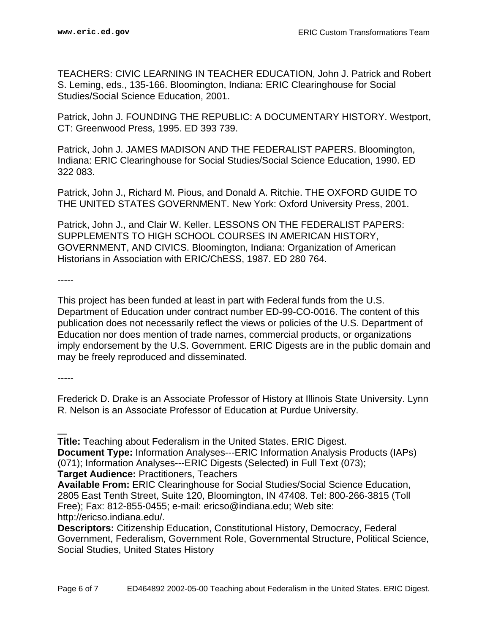TEACHERS: CIVIC LEARNING IN TEACHER EDUCATION, John J. Patrick and Robert S. Leming, eds., 135-166. Bloomington, Indiana: ERIC Clearinghouse for Social Studies/Social Science Education, 2001.

Patrick, John J. FOUNDING THE REPUBLIC: A DOCUMENTARY HISTORY. Westport, CT: Greenwood Press, 1995. ED 393 739.

Patrick, John J. JAMES MADISON AND THE FEDERALIST PAPERS. Bloomington, Indiana: ERIC Clearinghouse for Social Studies/Social Science Education, 1990. ED 322 083.

Patrick, John J., Richard M. Pious, and Donald A. Ritchie. THE OXFORD GUIDE TO THE UNITED STATES GOVERNMENT. New York: Oxford University Press, 2001.

Patrick, John J., and Clair W. Keller. LESSONS ON THE FEDERALIST PAPERS: SUPPLEMENTS TO HIGH SCHOOL COURSES IN AMERICAN HISTORY, GOVERNMENT, AND CIVICS. Bloomington, Indiana: Organization of American Historians in Association with ERIC/ChESS, 1987. ED 280 764.

-----

This project has been funded at least in part with Federal funds from the U.S. Department of Education under contract number ED-99-CO-0016. The content of this publication does not necessarily reflect the views or policies of the U.S. Department of Education nor does mention of trade names, commercial products, or organizations imply endorsement by the U.S. Government. ERIC Digests are in the public domain and may be freely reproduced and disseminated.

-----

Frederick D. Drake is an Associate Professor of History at Illinois State University. Lynn R. Nelson is an Associate Professor of Education at Purdue University.

**Title:** Teaching about Federalism in the United States. ERIC Digest.

**Document Type:** Information Analyses---ERIC Information Analysis Products (IAPs) (071); Information Analyses---ERIC Digests (Selected) in Full Text (073);

**Target Audience:** Practitioners, Teachers

**Available From:** ERIC Clearinghouse for Social Studies/Social Science Education, 2805 East Tenth Street, Suite 120, Bloomington, IN 47408. Tel: 800-266-3815 (Toll Free); Fax: 812-855-0455; e-mail: ericso@indiana.edu; Web site: http://ericso.indiana.edu/.

**Descriptors:** Citizenship Education, Constitutional History, Democracy, Federal Government, Federalism, Government Role, Governmental Structure, Political Science, Social Studies, United States History